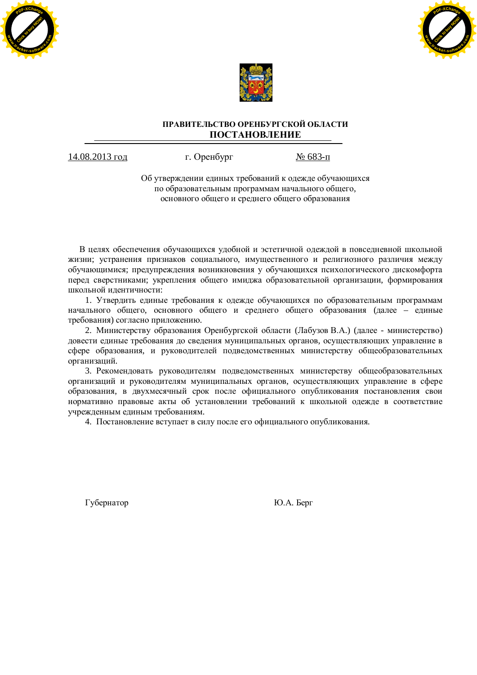





# ПРАВИТЕЛЬСТВО ОРЕНБУРГСКОЙ ОБЛАСТИ ПОСТАНОВЛЕНИЕ

14.08.2013 год г. Оренбург № 683-п

Об утверждении единых требований к одежде обучающихся по образовательным программам начального общего, основного общего и среднего общего образования

В целях обеспечения обучающихся удобной и эстетичной одеждой в повседневной школьной жизни; устранения признаков социального, имущественного и религиозного различия между обучающимися: предупреждения возникновения у обучающихся психологического дискомфорта перед сверстниками; укрепления общего имиджа образовательной организации, формирования школьной идентичности:

1. Утвердить единые требования к одежде обучающихся по образовательным программам начального общего, основного общего и среднего общего образования (далее – единые требования) согласно приложению.

2. Министерству образования Оренбургской области (Лабузов В.А.) (далее - министерство) довести единые требования до сведения муниципальных органов, осуществляющих управление в сфере образования, и руководителей подведомственных министерству общеобразовательных организаций.

3. Рекомендовать руководителям подведомственных министерству общеобразовательных организаций и руководителям муниципальных органов, осуществляющих управление в сфере образования, в двухмесячный срок после официального опубликования постановления свои нормативно правовые акты об установлении требований к школьной одежде в соответствие учрежденным единым требованиям.

4. Постановление вступает в силу после его официального опубликования.

Губернатор **Матичев и Матичев и Матичев и Матичев и Матичев и Матичев и Матичев и Матичев и Матичев и Матичев и**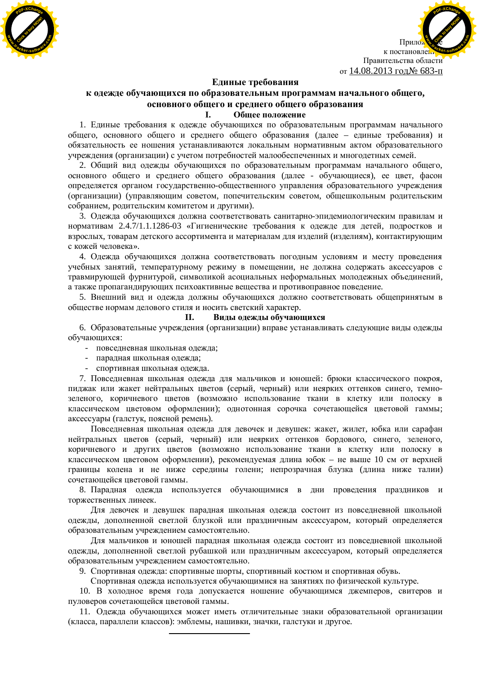



### **Единые требования**

# к одежде обучающихся по образовательным программам начального общего, **основного общего и среднего общего образования**

#### **І.** Общее положение

1. Единые требования к одежде обучающихся по образовательным программам начального общего, основного общего и среднего общего образования (далее – единые требования) и обязательность ее ношения устанавливаются локальным нормативным актом образовательного учреждения (организации) с учетом потребностей малообеспеченных и многодетных семей.

2. Общий вид одежды обучающихся по образовательным программам начального общего, основного общего и среднего общего образования (далее - обучающиеся), ее цвет, фасон определяется органом государственно-общественного управления образовательного учреждения (организации) (управляющим советом, попечительским советом, общешкольным родительским собранием, родительским комитетом и другими).

3. Одежда обучающихся должна соответствовать санитарно-эпидемиологическим правилам и нормативам 2.4.7/1.1.1286-03 «Гигиенические требования к одежде для детей, подростков и взрослых, товарам детского ассортимента и материалам для изделий (изделиям), контактирующим с кожей человека».

4. Одежда обучающихся должна соответствовать погодным условиям и месту проведения учебных занятий, температурному режиму в помещении, не должна содержать аксессуаров с травмирующей фурнитурой, символикой асоциальных неформальных молодежных объединений, а также пропагандирующих психоактивные вещества и противоправное поведение.

5. Внешний вид и одежда должны обучающихся должно соответствовать общепринятым в обществе нормам делового стиля и носить светский характер.

#### **II.** Виды одежды обучающихся

6. Образовательные учреждения (организации) вправе устанавливать следующие виды одежды обучающихся:

- повседневная школьная одежда;

- парадная школьная одежда;
- спортивная школьная одежда.

7. Повседневная школьная одежда для мальчиков и юношей: брюки классического покроя, пиджак или жакет нейтральных цветов (серый, черный) или неярких оттенков синего, темнозеленого, коричневого цветов (возможно использование ткани в клетку или полоску в классическом цветовом оформлении); однотонная сорочка сочетающейся цветовой гаммы; аксессуары (галстук, поясной ремень).

Повседневная школьная одежда для девочек и девушек: жакет, жилет, юбка или сарафан нейтральных цветов (серый, черный) или неярких оттенков бордового, синего, зеленого, коричневого и других цветов (возможно использование ткани в клетку или полоску в классическом цветовом оформлении), рекомендуемая длина юбок – не выше 10 см от верхней границы колена и не ниже середины голени; непрозрачная блузка (длина ниже талии) сочетающейся цветовой гаммы.

8. Парадная одежда используется обучающимися в дни проведения праздников и торжественных линеек.

Для девочек и девушек парадная школьная одежда состоит из повседневной школьной одежды, дополненной светлой блузкой или праздничным аксессуаром, который определяется образовательным учреждением самостоятельно.

Для мальчиков и юношей парадная школьная одежда состоит из повседневной школьной одежды, дополненной светлой рубашкой или праздничным аксессуаром, который определяется образовательным учреждением самостоятельно.

9. Спортивная одежда: спортивные шорты, спортивный костюм и спортивная обувь.

Спортивная одежда используется обучающимися на занятиях по физической культуре.

10. В холодное время года допускается ношение обучающимся джемперов, свитеров и пуловеров сочетающейся цветовой гаммы.

11. Одежда обучающихся может иметь отличительные знаки образовательной организации (класса, параллели классов): эмблемы, нашивки, значки, галстуки и другое.